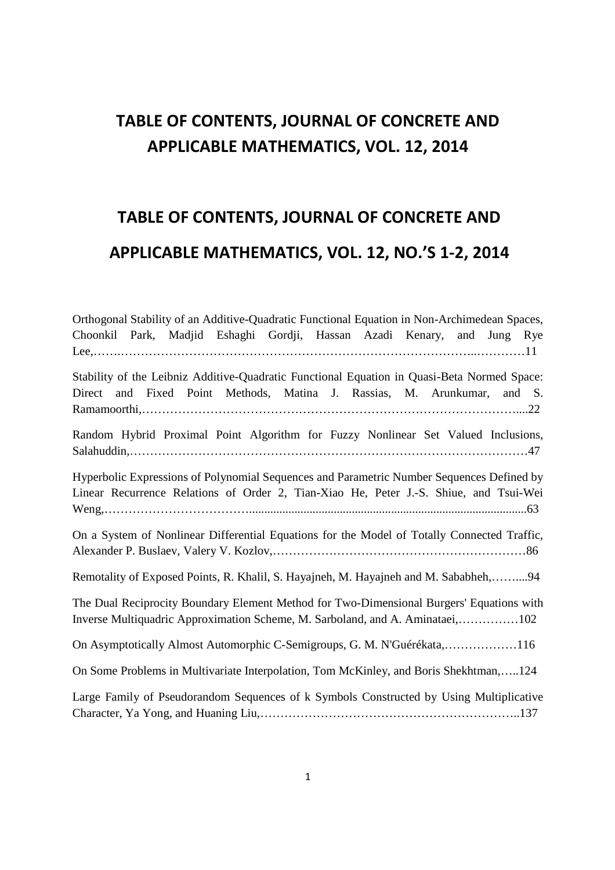## **TABLE OF CONTENTS, JOURNAL OF CONCRETE AND APPLICABLE MATHEMATICS, VOL. 12, 2014**

## **TABLE OF CONTENTS, JOURNAL OF CONCRETE AND APPLICABLE MATHEMATICS, VOL. 12, NO.'S 1-2, 2014**

| Orthogonal Stability of an Additive-Quadratic Functional Equation in Non-Archimedean Spaces,                                                                                       |
|------------------------------------------------------------------------------------------------------------------------------------------------------------------------------------|
| Choonkil Park, Madjid Eshaghi Gordji, Hassan Azadi Kenary, and<br>Jung Rye                                                                                                         |
|                                                                                                                                                                                    |
| Stability of the Leibniz Additive-Quadratic Functional Equation in Quasi-Beta Normed Space:<br>and Fixed Point Methods, Matina J. Rassias, M. Arunkumar,<br>Direct<br>and S.       |
| Random Hybrid Proximal Point Algorithm for Fuzzy Nonlinear Set Valued Inclusions,                                                                                                  |
| Hyperbolic Expressions of Polynomial Sequences and Parametric Number Sequences Defined by<br>Linear Recurrence Relations of Order 2, Tian-Xiao He, Peter J.-S. Shiue, and Tsui-Wei |
| On a System of Nonlinear Differential Equations for the Model of Totally Connected Traffic,                                                                                        |
| Remotality of Exposed Points, R. Khalil, S. Hayajneh, M. Hayajneh and M. Sababheh,94                                                                                               |
| The Dual Reciprocity Boundary Element Method for Two-Dimensional Burgers' Equations with<br>Inverse Multiquadric Approximation Scheme, M. Sarboland, and A. Aminataei,102          |
| On Asymptotically Almost Automorphic C-Semigroups, G. M. N'Guérékata,116                                                                                                           |
| On Some Problems in Multivariate Interpolation, Tom McKinley, and Boris Shekhtman,124                                                                                              |
| Large Family of Pseudorandom Sequences of k Symbols Constructed by Using Multiplicative                                                                                            |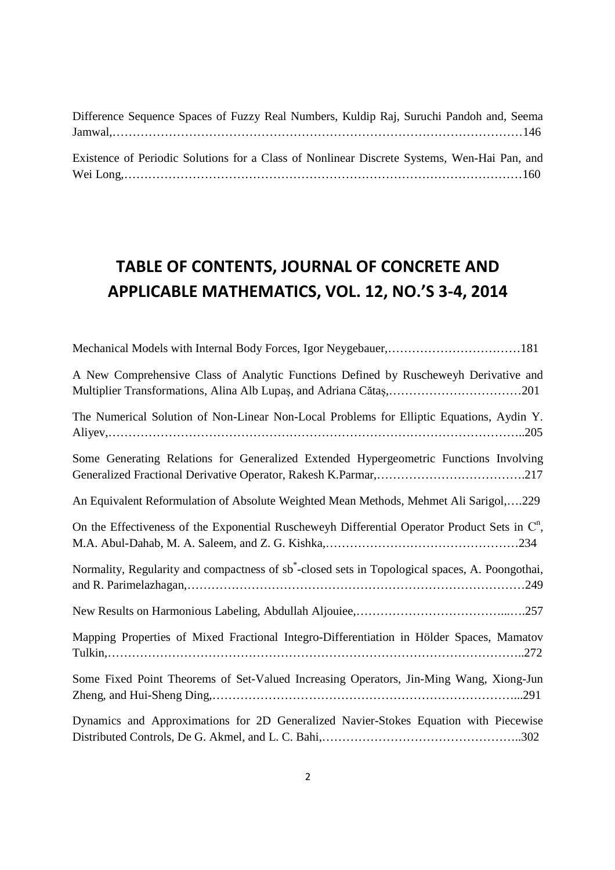| Difference Sequence Spaces of Fuzzy Real Numbers, Kuldip Raj, Suruchi Pandoh and, Seema     |  |  |  |  |  |  |
|---------------------------------------------------------------------------------------------|--|--|--|--|--|--|
|                                                                                             |  |  |  |  |  |  |
|                                                                                             |  |  |  |  |  |  |
| Existence of Periodic Solutions for a Class of Nonlinear Discrete Systems, Wen-Hai Pan, and |  |  |  |  |  |  |
|                                                                                             |  |  |  |  |  |  |

## **TABLE OF CONTENTS, JOURNAL OF CONCRETE AND APPLICABLE MATHEMATICS, VOL. 12, NO.'S 3-4, 2014**

| Mechanical Models with Internal Body Forces, Igor Neygebauer,181                                            |
|-------------------------------------------------------------------------------------------------------------|
| A New Comprehensive Class of Analytic Functions Defined by Ruscheweyh Derivative and                        |
| The Numerical Solution of Non-Linear Non-Local Problems for Elliptic Equations, Aydin Y.                    |
| Some Generating Relations for Generalized Extended Hypergeometric Functions Involving                       |
| An Equivalent Reformulation of Absolute Weighted Mean Methods, Mehmet Ali Sarigol,229                       |
| On the Effectiveness of the Exponential Ruscheweyh Differential Operator Product Sets in $\mathbb{C}^n$ ,   |
| Normality, Regularity and compactness of sb <sup>*</sup> -closed sets in Topological spaces, A. Poongothai, |
|                                                                                                             |
| Mapping Properties of Mixed Fractional Integro-Differentiation in Hölder Spaces, Mamatov                    |
| Some Fixed Point Theorems of Set-Valued Increasing Operators, Jin-Ming Wang, Xiong-Jun                      |
| Dynamics and Approximations for 2D Generalized Navier-Stokes Equation with Piecewise                        |